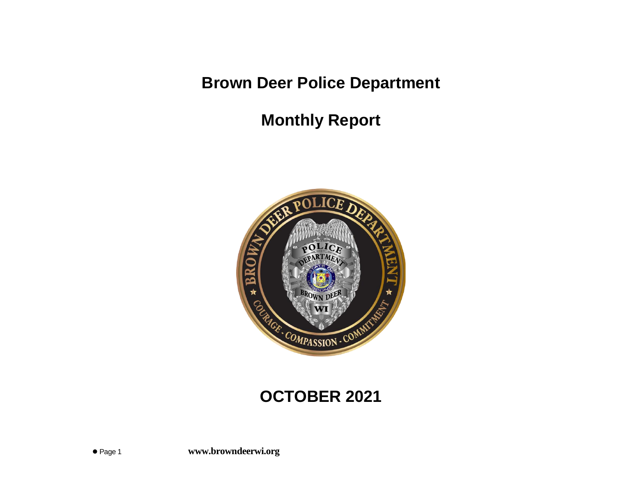**Brown Deer Police Department**

**Monthly Report**



# **OCTOBER 2021**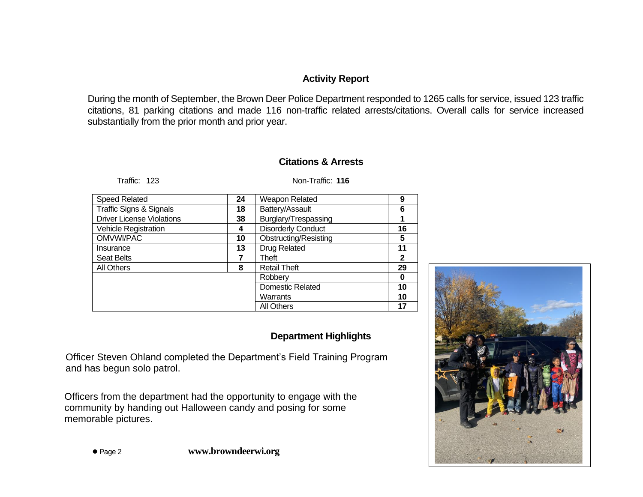## **Activity Report**

During the month of September, the Brown Deer Police Department responded to 1265 calls for service, issued 123 traffic citations, 81 parking citations and made 116 non-traffic related arrests/citations. Overall calls for service increased substantially from the prior month and prior year.

### **Citations & Arrests**

Traffic: 123 Non-Traffic: **116**

| <b>Speed Related</b>               | 24 | Weapon Related               | 9  |
|------------------------------------|----|------------------------------|----|
| <b>Traffic Signs &amp; Signals</b> | 18 | Battery/Assault              | 6  |
| <b>Driver License Violations</b>   | 38 | Burglary/Trespassing         |    |
| <b>Vehicle Registration</b>        | 4  | <b>Disorderly Conduct</b>    | 16 |
| OMVWI/PAC                          | 10 | <b>Obstructing/Resisting</b> | 5  |
| Insurance                          | 13 | Drug Related                 | 11 |
| Seat Belts                         | 7  | Theft                        | 2  |
| All Others                         | 8  | <b>Retail Theft</b>          | 29 |
|                                    |    | Robbery                      | 0  |
|                                    |    | <b>Domestic Related</b>      | 10 |
|                                    |    | Warrants                     | 10 |
|                                    |    | <b>All Others</b>            | 17 |

## **Department Highlights**

 Officer Steven Ohland completed the Department's Field Training Program and has begun solo patrol.

Officers from the department had the opportunity to engage with the community by handing out Halloween candy and posing for some memorable pictures.

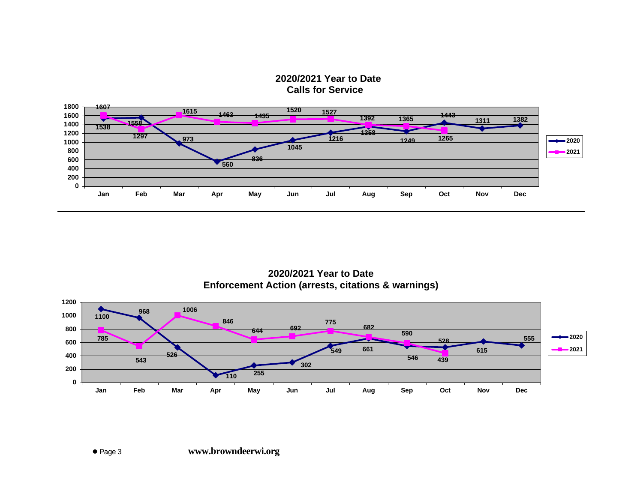**2020/2021 Year to Date Calls for Service**



**2020/2021 Year to Date Enforcement Action (arrests, citations & warnings)**

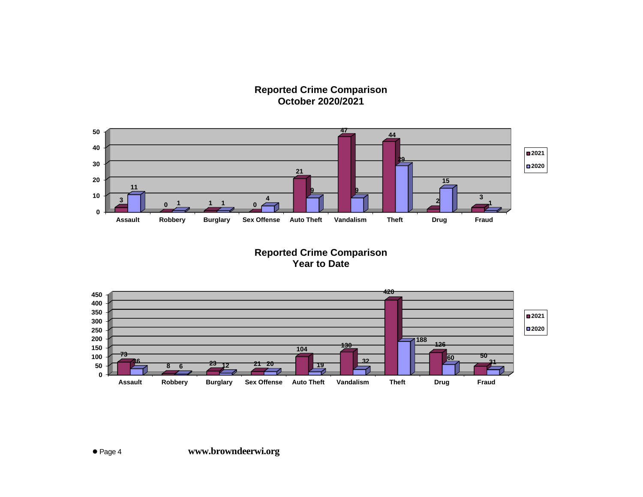#### **Reported Crime Comparison October 2020/2021**



**Reported Crime Comparison Year to Date**

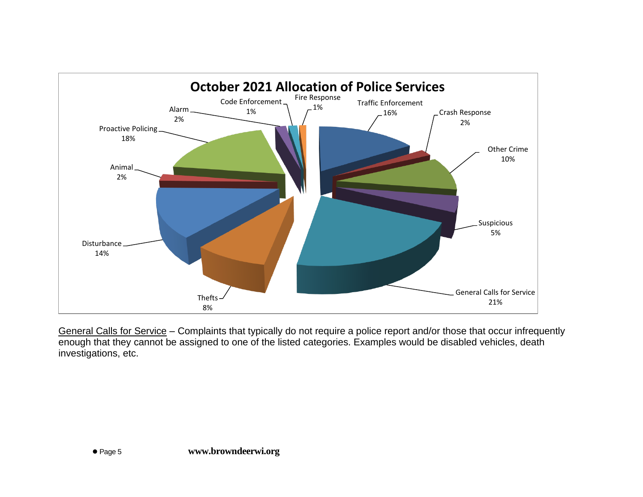

General Calls for Service – Complaints that typically do not require a police report and/or those that occur infrequently enough that they cannot be assigned to one of the listed categories. Examples would be disabled vehicles, death investigations, etc.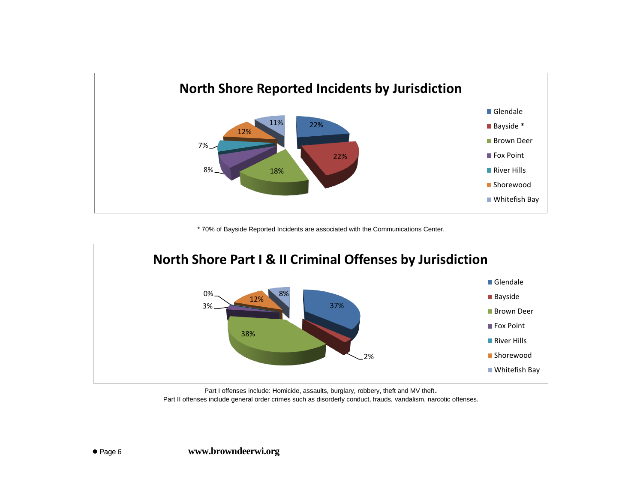

\* 70% of Bayside Reported Incidents are associated with the Communications Center.



Part I offenses include: Homicide, assaults, burglary, robbery, theft and MV theft. Part II offenses include general order crimes such as disorderly conduct, frauds, vandalism, narcotic offenses.